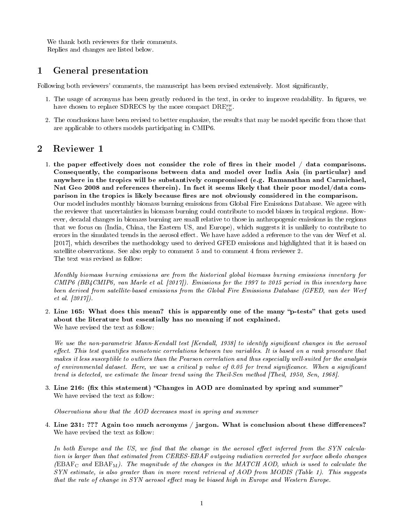We thank both reviewers for their comments. Replies and changes are listed below.

## 1 General presentation

Following both reviewers' comments, the manuscript has been revised extensively. Most signicantly,

- 1. The usage of acronyms has been greatly reduced in the text, in order to improve readability. In figures, we have chosen to replace SDRECS by the more compact  $\text{DRE}_{\text{clr}}^{\text{sw}}$ .
- 2. The conclusions have been revised to better emphasize, the results that may be model specific from those that are applicable to others models participating in CMIP6.

## 2 Reviewer 1

1. the paper effectively does not consider the role of fires in their model  $/$  data comparisons. Consequently, the comparisons between data and model over India Asia (in particular) and anywhere in the tropics will be substantively compromised (e.g. Ramanathan and Carmichael, Nat Geo 2008 and references therein). In fact it seems likely that their poor model/data comparison in the tropics is likely because fires are not obviously considered in the comparison. Our model includes monthly biomass burning emissions from Global Fire Emissions Database. We agree with the reviewer that uncertainties in biomass burning could contribute to model biases in tropical regions. However, decadal changes in biomass burning are small relative to those in anthropogenic emissions in the regions that we focus on (India, China, the Eastern US, and Europe), which suggests it is unlikely to contribute to errors in the simulated trends in the aerosol effect. We have have added a reference to the van der Werf et al. [2017], which describes the methodology used to derived GFED emissions and highlighted that it is based on satellite observations. See also reply to comment 5 and to comment 4 from reviewer 2. The text was revised as follow:

Monthly biomass burning emissions are from the historical global biomass burning emissions inventory for CMIP6 (BB4CMIP6, van Marle et al. [2017]). Emissions for the 1997 to 2015 period in this inventory have been derived from satellite-based emissions from the Global Fire Emissions Database (GFED, van der Werf et al. [2017]).

2. Line 165: What does this mean? this is apparently one of the many "p-tests" that gets used about the literature but essentially has no meaning if not explained. We have revised the text as follow:

We use the non-parametric Mann-Kendall test [Kendall, 1938] to identify significant changes in the aerosol effect. This test quantifies monotonic correlations between two variables. It is based on a rank procedure that makes it less susceptible to outliers than the Pearson correlation and thus especially well-suited for the analysis of environmental dataset. Here, we use a critical  $p$  value of 0.05 for trend significance. When a significant trend is detected, we estimate the linear trend using the Theil-Sen method [Theil, 1950, Sen, 1968].

3. Line 216: (fix this statement) "Changes in AOD are dominated by spring and summer" We have revised the text as follow:

Observations show that the AOD decreases most in spring and summer

4. Line  $231:$  ??? Again too much acronyms / jargon. What is conclusion about these differences? We have revised the text as follow:

In both Europe and the US, we find that the change in the aerosol effect inferred from the SYN calculation is larger than that estimated from CERES-EBAF outgoing radiation corrected for surface albedo changes  $(EBAF<sub>C</sub> and EBAF<sub>M</sub>)$ . The magnitude of the changes in the MATCH AOD, which is used to calculate the SYN estimate, is also greater than in more recent retrieval of AOD from MODIS (Table 1). This suggests that the rate of change in SYN aerosol effect may be biased high in Europe and Western Europe.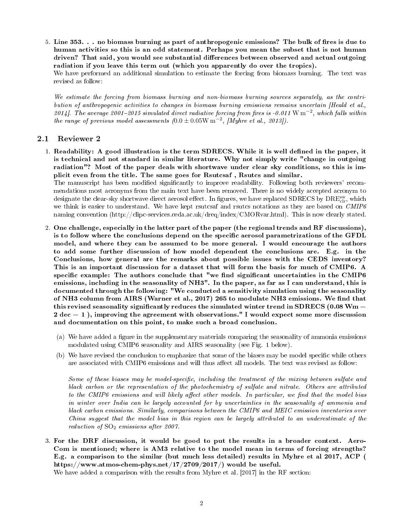5. Line  $353.$ ... no biomass burning as part of anthropogenic emissions? The bulk of fires is due to human activities so this is an odd statement. Perhaps you mean the subset that is not human driven? That said, you would see substantial differences between observed and actual outgoing radiation if you leave this term out (which you apparently do over the tropics). We have performed an additional simulation to estimate the forcing from biomass burning. The text was

We estimate the forcing from biomass burning and non-biomass burning sources separately, as the contribution of anthropogenic activities to changes in biomass burning emissions remains uncertain [Heald et al., 2014]. The average 2001-2015 simulated direct radiative forcing from fires is -0.011 W  $\mathrm{m}^{-2}$ , which falls within the range of previous model assessments  $(0.0 \pm 0.05 \text{W m}^{-2}, \text{[Myhre et al., 2013]}).$ 

## 2.1 Reviewer 2

revised as follow:

1. Readability: A good illustration is the term SDRECS. While it is well defined in the paper, it is technical and not standard in similar literature. Why not simply write "change in outgoing radiation"? Most of the paper deals with shortwave under clear sky conditions, so this is implicit even from the title. The same goes for Rsutcsaf , Rsutcs and similar. The manuscript has been modified significantly to improve readability. Following both reviewers' recom-

mendations most acronyms from the main text have been removed. There is no widely accepted acronym to designate the clear-sky shortwave direct aerosol effect. In figures, we have replaced SDRECS by  $\text{DRE}^{\text{sw}}_{\text{clr}}$ , which we think is easier to understand. We have kept rsutcsaf and rsutcs notations as they are based on CMIP6 naming convention (http://clipc-services.ceda.ac.uk/dreq/index/CMORvar.html). This is now clearly stated.

- 2. One challenge, especially in the latter part of the paper (the regional trends and RF discussions), is to follow where the conclusions depend on the specific aerosol parametrizations of the GFDL model, and where they can be assumed to be more general. I would encourage the authors to add some further discussion of how model dependent the conclusions are. E.g. in the Conclusions, how general are the remarks about possible issues with the CEDS inventory? This is an important discussion for a dataset that will form the basis for much of CMIP6. A specific example: The authors conclude that "we find significant uncertainties in the  $\bold{CMIP6}$ emissions, including in the seasonality of NH3". In the paper, as far as I can understand, this is documented through the following: "We conducted a sensitivity simulation using the seasonality of NH3 column from AIRS (Warner et al., 2017) 265 to modulate NH3 emissions. We find that outeralisms, how general are the remarks about possible issues with the OLDS inventory.<br>This is an important discussion for a dataset that will form the basis for much of CMIP6. A<br>specific example: The authors conclude tha 2 dec  $-1$ ), improving the agreement with observations." I would expect some more discussion probably of NH3". In the paper, as far as I can understand, this is documented through the following: "We conducted a sensitivit and documentation on this point, to make such a broad conclusion.
	- (a) We have added a figure in the supplementary materials comparing the seasonality of ammonia emissions modulated using CMIP6 seasonality and AIRS seasonality (see Fig. 1 below).
	- (b) We have revised the conclusion to emphasize that some of the biases may be model specific while others are associated with CMIP6 emissions and will thus affect all models. The text was revised as follow:

Some of these biases may be model-specific, including the treatment of the mixing between sulfate and black carbon or the representation of the photochemistry of sulfate and nitrate. Others are attributed to the CMIP6 emissions and will likely affect other models. In particular, we find that the model bias in winter over India can be largely accounted for by uncertainties in the seasonality of ammonia and black carbon emissions. Similarly, comparisons between the CMIP6 and MEIC emission inventories over  $China\; suqaest\; that\; the\; model\; bias\; in\; this\; region\; can\; be\;larable\; attribute\; do\; an\; underestimate\; of\; the\; model\; bias\; in\; this\; region\; can\; be\;larable\; distribution\; of\; the\; model\; bias\; in\; this\; region\; can\; be\; larducible\; of\; the\; model\; to\; a\; non-parallel\; of\; the\; model\; is\; a\; non-parallel\; of\; that\; is\; a\; non-parallel\; of\; that\; is\; a\; non-parallel\; of\; that\; is\; a\; non-parallel\; of\; that\; is\; a\$ reduction of  $SO_2$  emissions after 2007.

3. For the DRF discussion, it would be good to put the results in a broader context. Aero-Com is mentioned; where is AM3 relative to the model mean in terms of forcing strengths? E.g. a comparison to the similar (but much less detailed) results in Myhre et al 2017, ACP ( https://www.atmos-chem-phys.net/17/2709/2017/) would be useful.

We have added a comparison with the results from Myhre et al. [2017] in the RF section: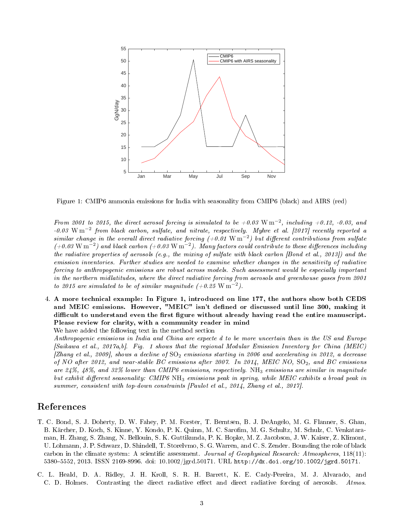

Figure 1: CMIP6 ammonia emissions for India with seasonality from CMIP6 (black) and AIRS (red)

From 2001 to 2015, the direct aerosol forcing is simulated to be  $+0.03 \text{ W m}^{-2}$ , including  $+0.12$ , -0.03, and  $-0.03 \text{ W m}^{-2}$  from black carbon, sulfate, and nitrate, respectively. Myhre et al. [2017] recently reported a similar change in the overall direct radiative forcing (+0.01 W m<sup>-2</sup>) but different contributions from sulfate  $(+0.03\,\text{W}\,\text{m}^{-2})$  and black carbon  $(+0.03\,\text{W}\,\text{m}^{-2})$ . Many factors could contribute to these differences including the radiative properties of aerosols (e.g., the mixing of sulfate with black carbon [Bond et al., 2013]) and the emission inventories. Further studies are needed to examine whether changes in the sensitivity of radiative forcing to anthropogenic emissions are robust across models. Such assessment would be especially important in the northern midlatitudes, where the direct radiative forcing from aerosols and greenhouse gases from 2001 to 2015 are simulated to be of similar magnitude  $(+0.25 \text{ W m}^{-2})$ .

4. A more technical example: In Figure 1, introduced on line 177, the authors show both CEDS and MEIC emissions. However, "MEIC" isn't defined or discussed until line 300, making it difficult to understand even the first figure without already having read the entire manuscript. Please review for clarity, with a community reader in mind

We have added the following text in the method section

Anthropogenic emissions in India and China are expecte d to be more uncertain than in the US and Europe [Saikawa et al., 2017a,b]. Fig. 1 shows that the regional Modular Emission Inventory for China (MEIC) [Zhang et al., 2009], shows a decline of  $SO_2$  emissions starting in 2006 and accelerating in 2012, a decrease of NO after 2012, and near-stable BC emissions after 2007. In 2014, MEIC NO,  $SO_2$ , and BC emissions are  $24\%$ ,  $48\%$ , and  $32\%$  lower than CMIP6 emissions, respectively. NH<sub>3</sub> emissions are similar in magnitude but exhibit different seasonality: CMIP6  $NH_3$  emissions peak in spring, while MEIC exhibits a broad peak in summer, consistent with top-down constraints [Paulot et al., 2014, Zhang et al., 2017].

## References

- T. C. Bond, S. J. Doherty, D. W. Fahey, P. M. Forster, T. Berntsen, B. J. DeAngelo, M. G. Flanner, S. Ghan, B. Kärcher, D. Koch, S. Kinne, Y. Kondo, P. K. Quinn, M. C. Sarofim, M. G. Schultz, M. Schulz, C. Venkataraman, H. Zhang, S. Zhang, N. Bellouin, S. K. Guttikunda, P. K. Hopke, M. Z. Jacobson, J. W. Kaiser, Z. Klimont, U. Lohmann, J. P. Schwarz, D. Shindell, T. Storelvmo, S. G. Warren, and C. S. Zender. Bounding the role of black carbon in the climate system: A scientific assessment. Journal of Geophysical Research: Atmospheres, 118(11): 53805552, 2013. ISSN 2169-8996. doi: 10.1002/jgrd.50171. URL http://dx.doi.org/10.1002/jgrd.50171.
- C. L. Heald, D. A. Ridley, J. H. Kroll, S. R. H. Barrett, K. E. Cady-Pereira, M. J. Alvarado, and C. D. Holmes. Contrasting the direct radiative effect and direct radiative forcing of aerosols. Atmos.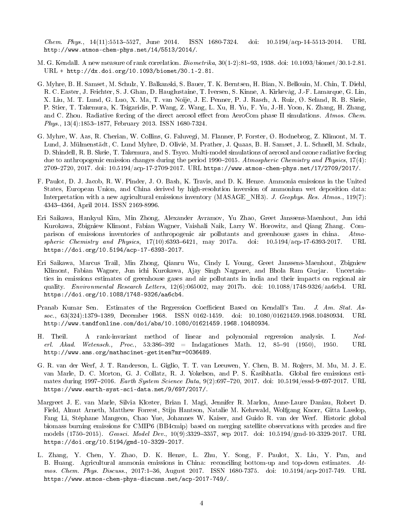$Chem.$  Phys., 14(11):5513-5527, June 2014. ISSN 1680-7324. doi: 10.5194/acp-14-5513-2014. URL http://www.atmos-chem-phys.net/14/5513/2014/.

- M. G. Kendall. A new measure of rank correlation.  $Biometrika$ ,  $30(1-2)$ :81-93, 1938. doi: 10.1093/biomet/30.1-2.81. URL + http://dx.doi.org/10.1093/biomet/30.1-2.81.
- G. Myhre, B. H. Samset, M. Schulz, Y. Balkanski, S. Bauer, T. K. Berntsen, H. Bian, N. Bellouin, M. Chin, T. Diehl, R. C. Easter, J. Feichter, S. J. Ghan, D. Hauglustaine, T. Iversen, S. Kinne, A. Kirkevåg, J.-F. Lamarque, G. Lin, X. Liu, M. T. Lund, G. Luo, X. Ma, T. van Noije, J. E. Penner, P. J. Rasch, A. Ruiz, Ø. Seland, R. B. Skeie, P. Stier, T. Takemura, K. Tsigaridis, P. Wang, Z. Wang, L. Xu, H. Yu, F. Yu, J.-H. Yoon, K. Zhang, H. Zhang, and C. Zhou. Radiative forcing of the direct aerosol effect from AeroCom phase II simulations. Atmos. Chem. Phys., 13(4):1853-1877, February 2013. ISSN 1680-7324.
- G. Myhre, W. Aas, R. Cherian, W. Collins, G. Faluvegi, M. Flanner, P. Forster, Ø. Hodnebrog, Z. Klimont, M. T. Lund, J. Mülmenstädt, C. Lund Myhre, D. Olivié, M. Prather, J. Quaas, B. H. Samset, J. L. Schnell, M. Schulz, D. Shindell, R. B. Skeie, T. Takemura, and S. Tsyro. Multi-model simulations of aerosol and ozone radiative forcing due to anthropogenic emission changes during the period 1990–2015. Atmospheric Chemistry and Physics,  $17(4)$ : 27092720, 2017. doi: 10.5194/acp-17-2709-2017. URL https://www.atmos-chem-phys.net/17/2709/2017/.
- F. Paulot, D. J. Jacob, R. W. Pinder, J. O. Bash, K. Travis, and D. K. Henze. Ammonia emissions in the United States, European Union, and China derived by high-resolution inversion of ammonium wet deposition data: Interpretation with a new agricultural emissions inventory (MASAGE NH3). J. Geophys. Res. Atmos., 119(7): 43434364, April 2014. ISSN 2169-8996.
- Eri Saikawa, Hankyul Kim, Min Zhong, Alexander Avramov, Yu Zhao, Greet Janssens-Maenhout, Jun ichi Kurokawa, Zbigniew Klimont, Fabian Wagner, Vaishali Naik, Larry W. Horowitz, and Qiang Zhang. Comparison of emissions inventories of anthropogenic air pollutants and greenhouse gases in china. Atmospheric Chemistry and Physics,  $17(10):6393-6421$ , may  $2017a$ . doi:  $10.5194/a$ cp-17-6393-2017. URL https://doi.org/10.5194/acp-17-6393-2017.
- Eri Saikawa, Marcus Trail, Min Zhong, Qianru Wu, Cindy L Young, Greet Janssens-Maenhout, Zbigniew Klimont, Fabian Wagner, Jun ichi Kurokawa, Ajay Singh Nagpure, and Bhola Ram Gurjar. Uncertainties in emissions estimates of greenhouse gases and air pollutants in india and their impacts on regional air quality. Environmental Research Letters, 12(6):065002, may 2017b. doi: 10.1088/1748-9326/aa6cb4. URL https://doi.org/10.1088/1748-9326/aa6cb4.
- Pranab Kumar Sen. Estimates of the Regression Coefficient Based on Kendall's Tau. J. Am. Stat. Assoc., 63(324):1379-1389, December 1968. ISSN 0162-1459. doi: 10.1080/01621459.1968.10480934. URL http://www.tandfonline.com/doi/abs/10.1080/01621459.1968.10480934.
- H. Theil. A rank-invariant method of linear and polynomial regression analysis. I. Nederl. Akad. Wetensch., Proc., 53:386-392 = Indagationes Math. 12, 85-91 (1950), 1950. URL http://www.ams.org/mathscinet-getitem?mr=0036489.
- G. R. van der Werf, J. T. Randerson, L. Giglio, T. T. van Leeuwen, Y. Chen, B. M. Rogers, M. Mu, M. J. E. van Marle, D. C. Morton, G. J. Collatz, R. J. Yokelson, and P. S. Kasibhatla. Global fire emissions estimates during 1997-2016. Earth System Science Data,  $9(2):697-720$ , 2017. doi:  $10.5194/\text{essd-9-697-2017}$ . URL https://www.earth-syst-sci-data.net/9/697/2017/.
- Margreet J. E. van Marle, Silvia Kloster, Brian I. Magi, Jennifer R. Marlon, Anne-Laure Daniau, Robert D. Field, Almut Arneth, Matthew Forrest, Stijn Hantson, Natalie M. Kehrwald, Wolfgang Knorr, Gitta Lasslop, Fang Li, Stéphane Mangeon, Chao Yue, Johannes W. Kaiser, and Guido R. van der Werf. Historic global biomass burning emissions for CMIP6 (BB4cmip) based on merging satellite observations with proxies and fire models (1750-2015). Geosci. Model Dev., 10(9):3329-3357, sep 2017. doi:  $10.5194/\text{g}$ md-10-3329-2017. URL https://doi.org/10.5194/gmd-10-3329-2017.
- L. Zhang, Y. Chen, Y. Zhao, D. K. Henze, L. Zhu, Y. Song, F. Paulot, X. Liu, Y. Pan, and B. Huang. Agricultural ammonia emissions in China: reconciling bottom-up and top-down estimates. Atmos. Chem. Phys. Discuss., 2017:136, August 2017. ISSN 1680-7375. doi: 10.5194/acp-2017-749. URL https://www.atmos-chem-phys-discuss.net/acp-2017-749/.